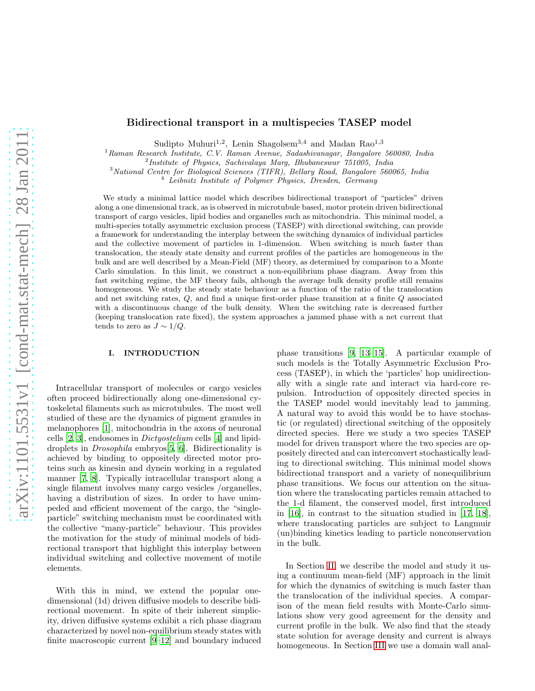# Bidirectional transport in a multispecies TASEP model

Sudipto Muhuri<sup>1,2</sup>, Lenin Shagolsem<sup>3,4</sup> and Madan Rao<sup>1,3</sup>

<sup>1</sup>Raman Research Institute, C.V. Raman Avenue, Sadashivanagar, Bangalore 560080, India

<sup>2</sup>Institute of Physics, Sachivalaya Marg, Bhubaneswar 751005, India

<sup>3</sup>National Centre for Biological Sciences (TIFR), Bellary Road, Bangalore 560065, India

 $4$  Leibnitz Institute of Polymer Physics, Dresden, Germany

We study a minimal lattice model which describes bidirectional transport of "particles" driven along a one dimensional track, as is observed in microtubule based, motor protein driven bidirectional transport of cargo vesicles, lipid bodies and organelles such as mitochondria. This minimal model, a multi-species totally asymmetric exclusion process (TASEP) with directional switching, can provide a framework for understanding the interplay between the switching dynamics of individual particles and the collective movement of particles in 1-dimension. When switching is much faster than translocation, the steady state density and current profiles of the particles are homogeneous in the bulk and are well described by a Mean-Field (MF) theory, as determined by comparison to a Monte Carlo simulation. In this limit, we construct a non-equilibrium phase diagram. Away from this fast switching regime, the MF theory fails, although the average bulk density profile still remains homogeneous. We study the steady state behaviour as a function of the ratio of the translocation and net switching rates, Q, and find a unique first-order phase transition at a finite Q associated with a discontinuous change of the bulk density. When the switching rate is decreased further (keeping translocation rate fixed), the system approaches a jammed phase with a net current that tends to zero as  $J \sim 1/Q$ .

## I. INTRODUCTION

Intracellular transport of molecules or cargo vesicles often proceed bidirectionally along one-dimensional cytoskeletal filaments such as microtubules. The most well studied of these are the dynamics of pigment granules in melanophores [\[1](#page-6-0)], mitochondria in the axons of neuronal cells [\[2,](#page-6-1) [3](#page-7-0)], endosomes in Dictyostelium cells [\[4](#page-7-1)] and lipiddroplets in Drosophila embryos[\[5,](#page-7-2) [6\]](#page-7-3). Bidirectionality is achieved by binding to oppositely directed motor proteins such as kinesin and dynein working in a regulated manner [\[7](#page-7-4), [8\]](#page-7-5). Typically intracellular transport along a single filament involves many cargo vesicles /organelles, having a distribution of sizes. In order to have unimpeded and efficient movement of the cargo, the "singleparticle" switching mechanism must be coordinated with the collective "many-particle" behaviour. This provides the motivation for the study of minimal models of bidirectional transport that highlight this interplay between individual switching and collective movement of motile elements.

With this in mind, we extend the popular onedimensional (1d) driven diffusive models to describe bidirectional movement. In spite of their inherent simplicity, driven diffusive systems exhibit a rich phase diagram characterized by novel non-equilibrium steady states with finite macroscopic current [\[9](#page-7-6)[–12\]](#page-7-7) and boundary induced

phase transitions [\[9](#page-7-6), [13](#page-7-8)[–15\]](#page-7-9). A particular example of such models is the Totally Asymmetric Exclusion Process (TASEP), in which the 'particles' hop unidirectionally with a single rate and interact via hard-core repulsion. Introduction of oppositely directed species in the TASEP model would inevitably lead to jamming. A natural way to avoid this would be to have stochastic (or regulated) directional switching of the oppositely directed species. Here we study a two species TASEP model for driven transport where the two species are oppositely directed and can interconvert stochastically leading to directional switching. This minimal model shows bidirectional transport and a variety of nonequilibrium phase transitions. We focus our attention on the situation where the translocating particles remain attached to the 1-d filament, the conserved model, first introduced in [\[16](#page-7-10)], in contrast to the situation studied in [\[17,](#page-7-11) [18\]](#page-7-12), where translocating particles are subject to Langmuir (un)binding kinetics leading to particle nonconservation in the bulk.

In Section [II,](#page-1-0) we describe the model and study it using a continuum mean-field (MF) approach in the limit for which the dynamics of switching is much faster than the translocation of the individual species. A comparison of the mean field results with Monte-Carlo simulations show very good agreement for the density and current profile in the bulk. We also find that the steady state solution for average density and current is always homogeneous. In Section [III](#page-3-0) we use a domain wall anal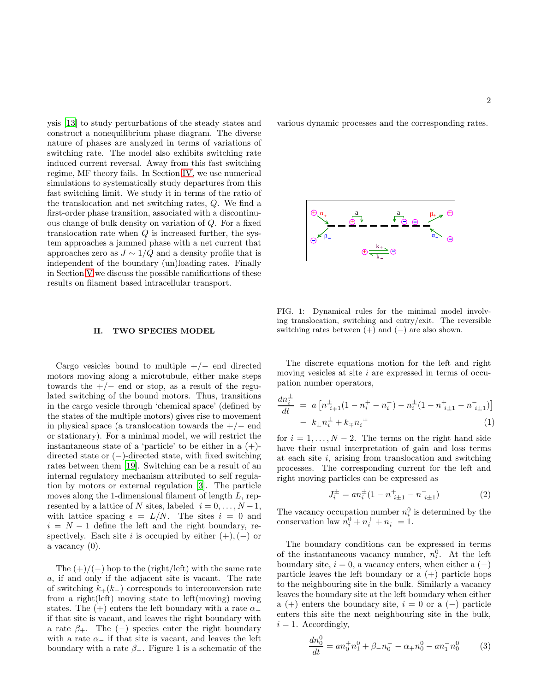ysis [\[13](#page-7-8)] to study perturbations of the steady states and construct a nonequilibrium phase diagram. The diverse nature of phases are analyzed in terms of variations of switching rate. The model also exhibits switching rate induced current reversal. Away from this fast switching regime, MF theory fails. In Section [IV,](#page-4-0) we use numerical simulations to systematically study departures from this fast switching limit. We study it in terms of the ratio of the translocation and net switching rates, Q. We find a first-order phase transition, associated with a discontinuous change of bulk density on variation of Q. For a fixed translocation rate when  $Q$  is increased further, the system approaches a jammed phase with a net current that approaches zero as  $J \sim 1/Q$  and a density profile that is independent of the boundary (un)loading rates. Finally in Section [V](#page-6-2) we discuss the possible ramifications of these results on filament based intracellular transport.

### <span id="page-1-0"></span>II. TWO SPECIES MODEL

Cargo vesicles bound to multiple  $+/-$  end directed motors moving along a microtubule, either make steps towards the  $+/-$  end or stop, as a result of the regulated switching of the bound motors. Thus, transitions in the cargo vesicle through 'chemical space' (defined by the states of the multiple motors) gives rise to movement in physical space (a translocation towards the  $+/-$  end or stationary). For a minimal model, we will restrict the instantaneous state of a 'particle' to be either in a  $(+)$ directed state or (−)-directed state, with fixed switching rates between them [\[19\]](#page-7-13). Switching can be a result of an internal regulatory mechanism attributed to self regulation by motors or external regulation [\[3](#page-7-0)]. The particle moves along the 1-dimensional filament of length L, represented by a lattice of N sites, labeled  $i = 0, \ldots, N-1$ , with lattice spacing  $\epsilon = L/N$ . The sites  $i = 0$  and  $i = N - 1$  define the left and the right boundary, respectively. Each site i is occupied by either  $(+), (-)$  or a vacancy  $(0)$ .

The  $(+)/(-)$  hop to the (right/left) with the same rate a, if and only if the adjacent site is vacant. The rate of switching  $k_{+}(k_{-})$  corresponds to interconversion rate from a right(left) moving state to left(moving) moving states. The  $(+)$  enters the left boundary with a rate  $\alpha_+$ if that site is vacant, and leaves the right boundary with a rate  $\beta_+$ . The (−) species enter the right boundary with a rate  $\alpha_$  if that site is vacant, and leaves the left boundary with a rate  $\beta$ <sub>-</sub>. Figure 1 is a schematic of the

various dynamic processes and the corresponding rates.



FIG. 1: Dynamical rules for the minimal model involving translocation, switching and entry/exit. The reversible switching rates between  $(+)$  and  $(-)$  are also shown.

The discrete equations motion for the left and right moving vesicles at site  $i$  are expressed in terms of occupation number operators,

$$
\frac{dn_i^{\pm}}{dt} = a \left[ n_{i+1}^{\pm} (1 - n_i^+ - n_i^-) - n_i^{\pm} (1 - n_{i+1}^+ - n_{i+1}^-) \right] \n- k_{\pm} n_i^{\pm} + k_{\mp} n_i^{\mp}
$$
\n(1)

for  $i = 1, \ldots, N - 2$ . The terms on the right hand side have their usual interpretation of gain and loss terms at each site  $i$ , arising from translocation and switching processes. The corresponding current for the left and right moving particles can be expressed as

$$
J_i^{\pm} = a n_i^{\pm} (1 - n_{i \pm 1}^{\pm} - n_{i \pm 1}^{\pm})
$$
 (2)

The vacancy occupation number  $n_i^0$  is determined by the conservation law  $n_i^0 + n_i^+ + n_i^- = 1$ .

The boundary conditions can be expressed in terms of the instantaneous vacancy number,  $n_i^0$ . At the left boundary site,  $i = 0$ , a vacancy enters, when either a  $(-)$ particle leaves the left boundary or a (+) particle hops to the neighbouring site in the bulk. Similarly a vacancy leaves the boundary site at the left boundary when either a (+) enters the boundary site,  $i = 0$  or a (-) particle enters this site the next neighbouring site in the bulk,  $i = 1$ . Accordingly,

$$
\frac{dn_0^0}{dt} = an_0^+ n_1^0 + \beta_- n_0^- - \alpha_+ n_0^0 - a n_1^- n_0^0 \tag{3}
$$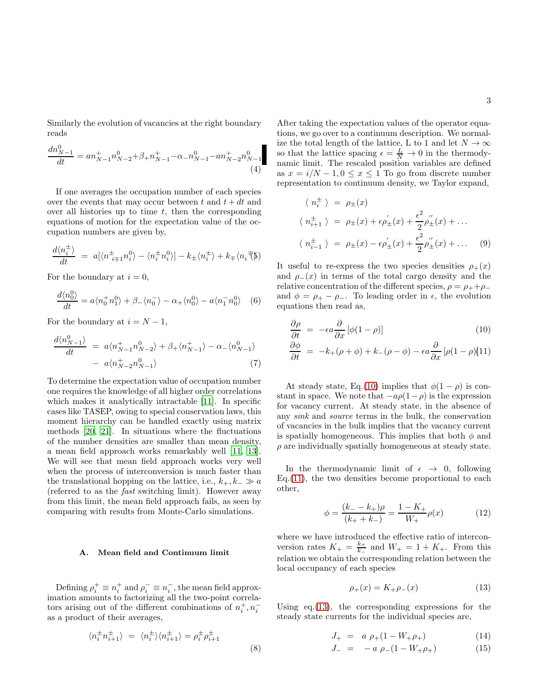Similarly the evolution of vacancies at the right boundary reads

$$
\frac{dn_{N-1}^0}{dt} = an_{N-1}^+ n_{N-2}^0 + \beta_+ n_{N-1}^+ - \alpha_- n_{N-1}^0 - an_{N-2}^+ n_{N-1}^0
$$
\n(4)

If one averages the occupation number of each species over the events that may occur between t and  $t + dt$  and over all histories up to time  $t$ , then the corresponding equations of motion for the expectation value of the occupation numbers are given by,

$$
\frac{d\langle n_i^{\pm}\rangle}{dt} = a[\langle n_{i+1}^{\pm}n_i^0\rangle - \langle n_i^{\pm}n_i^0\rangle] - k_{\pm}\langle n_i^{\pm}\rangle + k_{\mp}\langle n_i^{\mp}\rangle]
$$

For the boundary at  $i = 0$ ,

<span id="page-2-2"></span>
$$
\frac{d\langle n_0^0\rangle}{dt} = a\langle n_0^+ n_1^0\rangle + \beta_-\langle n_0^- \rangle - \alpha_+\langle n_0^0\rangle - a\langle n_1^- n_0^0\rangle \quad (6)
$$

For the boundary at  $i = N - 1$ ,

<span id="page-2-3"></span>
$$
\frac{d\langle n_{N-1}^0\rangle}{dt} = a\langle n_{N-1}^+ n_{N-2}^0\rangle + \beta_+\langle n_{N-1}^+\rangle - \alpha_-\langle n_{N-1}^0\rangle
$$
  

$$
- a\langle n_{N-2}^+ n_{N-1}^0\rangle
$$
 (7)

To determine the expectation value of occupation number one requires the knowledge of all higher order correlations which makes it analytically intractable [\[11\]](#page-7-14). In specific cases like TASEP, owing to special conservation laws, this moment hierarchy can be handled exactly using matrix methods [\[20](#page-7-15), [21\]](#page-7-16). In situations where the fluctuations of the number densities are smaller than mean density, a mean field approach works remarkably well [\[11](#page-7-14), [13\]](#page-7-8). We will see that mean field approach works very well when the process of interconversion is much faster than the translational hopping on the lattice, i.e.,  $k_+, k_- \gg a$ (referred to as the fast switching limit). However away from this limit, the mean field approach fails, as seen by comparing with results from Monte-Carlo simulations.

# A. Mean field and Continuum limit

Defining  $\rho_i^+ \equiv n_i^+$  and  $\rho_i^- \equiv n_i^-$ , the mean field approximation amounts to factorizing all the two-point correlators arising out of the different combinations of  $n_i^+, n_i^$ as a product of their averages,

$$
\langle n_i^{\pm} n_{i+1}^{\pm} \rangle = \langle n_i^{\pm} \rangle \langle n_{i+1}^{\pm} \rangle = \rho_i^{\pm} \rho_{i+1}^{\pm}
$$
\n(8)

After taking the expectation values of the operator equations, we go over to a continuum description. We normalize the total length of the lattice, L to 1 and let  $N \to \infty$ so that the lattice spacing  $\epsilon = \frac{L}{N} \to 0$  in the thermodynamic limit. The rescaled position variables are defined as  $x = i/N - 1, 0 \le x \le 1$  To go from discrete number representation to continuum density, we Taylor expand,

$$
\langle n_i^{\pm} \rangle = \rho_{\pm}(x)
$$
  

$$
\langle n_{i+1}^{\pm} \rangle = \rho_{\pm}(x) + \epsilon \rho_{\pm}'(x) + \frac{\epsilon^2}{2} \rho_{\pm}''(x) + \dots
$$
  

$$
\langle n_{i-1}^{\pm} \rangle = \rho_{\pm}(x) - \epsilon \rho_{\pm}'(x) + \frac{\epsilon^2}{2} \rho_{\pm}''(x) + \dots
$$
 (9)

It useful to re-express the two species densities  $\rho_+(x)$ and  $\rho_-(x)$  in terms of the total cargo density and the relative concentration of the different species,  $\rho = \rho_+ + \rho_$ and  $\phi = \rho_+ - \rho_-\$ . To leading order in  $\epsilon$ , the evolution equations then read as,

<span id="page-2-0"></span>
$$
\frac{\partial \rho}{\partial t} = -\epsilon a \frac{\partial}{\partial x} [\phi(1-\rho)] \tag{10}
$$

$$
\frac{\partial \phi}{\partial t} = -k_{+}(\rho + \phi) + k_{-}(\rho - \phi) - \epsilon a \frac{\partial}{\partial x} [\rho (1 - \rho)] (11)
$$

At steady state, Eq.[\(10\)](#page-2-0) implies that  $\phi(1-\rho)$  is constant in space. We note that  $-a\rho(1-\rho)$  is the expression for vacancy current. At steady state, in the absence of any sink and source terms in the bulk, the conservation of vacancies in the bulk implies that the vacancy current is spatially homogeneous. This implies that both  $\phi$  and  $\rho$  are individually spatially homogeneous at steady state.

In the thermodynamic limit of  $\epsilon \rightarrow 0$ , following  $Eq.(11)$  $Eq.(11)$ , the two densities become proportional to each other,

$$
\phi = \frac{(k_{-} - k_{+})\rho}{(k_{+} + k_{-})} = \frac{1 - K_{+}}{W_{+}}\rho(x)
$$
(12)

where we have introduced the effective ratio of interconversion rates  $K_{+} = \frac{k_{+}}{k_{-}}$  and  $W_{+} = 1 + K_{+}$ . From this relation we obtain the corresponding relation between the local occupancy of each species

<span id="page-2-1"></span>
$$
\rho_{+}(x) = K_{+}\rho_{-}(x) \tag{13}
$$

Using eq.[\(13\)](#page-2-1), the corresponding expressions for the steady state currents for the individual species are,

<span id="page-2-4"></span>
$$
J_{+} = a \rho_{+} (1 - W_{+} \rho_{+}) \tag{14}
$$

$$
J_{-} = -a \rho_{-}(1 - W_{+} \rho_{+}) \tag{15}
$$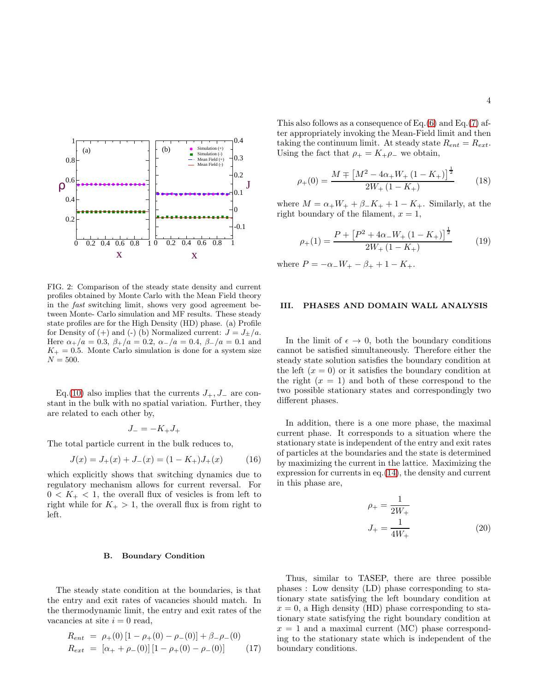

FIG. 2: Comparison of the steady state density and current profiles obtained by Monte Carlo with the Mean Field theory in the fast switching limit, shows very good agreement between Monte- Carlo simulation and MF results. These steady state profiles are for the High Density (HD) phase. (a) Profile for Density of (+) and (-) (b) Normalized current:  $J = J_{\pm}/a$ . Here  $\alpha_{+}/a = 0.3$ ,  $\beta_{+}/a = 0.2$ ,  $\alpha_{-}/a = 0.4$ ,  $\beta_{-}/a = 0.1$  and  $K_{+} = 0.5$ . Monte Carlo simulation is done for a system size  $N = 500.$ 

Eq.[\(10\)](#page-2-0) also implies that the currents  $J_+, J_-$  are constant in the bulk with no spatial variation. Further, they are related to each other by,

$$
J_- = -K_+ J_+
$$

The total particle current in the bulk reduces to,

$$
J(x) = J_{+}(x) + J_{-}(x) = (1 - K_{+})J_{+}(x)
$$
 (16)

which explicitly shows that switching dynamics due to regulatory mechanism allows for current reversal. For  $0 < K<sub>+</sub> < 1$ , the overall flux of vesicles is from left to right while for  $K_+ > 1$ , the overall flux is from right to left.

### B. Boundary Condition

The steady state condition at the boundaries, is that the entry and exit rates of vacancies should match. In the thermodynamic limit, the entry and exit rates of the vacancies at site  $i = 0$  read,

$$
R_{ent} = \rho_{+}(0) [1 - \rho_{+}(0) - \rho_{-}(0)] + \beta_{-}\rho_{-}(0)
$$
  
\n
$$
R_{ext} = [\alpha_{+} + \rho_{-}(0)] [1 - \rho_{+}(0) - \rho_{-}(0)] \tag{17}
$$

This also follows as a consequence of Eq.[\(6\)](#page-2-2) and Eq.[\(7\)](#page-2-3) after appropriately invoking the Mean-Field limit and then taking the continuum limit. At steady state  $R_{ent} = R_{ext}$ . Using the fact that  $\rho_+ = K_+\rho_-$  we obtain,

$$
\rho_{+}(0) = \frac{M \mp \left[M^2 - 4\alpha_{+}W_{+} \left(1 - K_{+}\right)\right]^{\frac{1}{2}}}{2W_{+} \left(1 - K_{+}\right)} \tag{18}
$$

where  $M = \alpha_+ W_+ + \beta_- K_+ + 1 - K_+$ . Similarly, at the right boundary of the filament,  $x = 1$ ,

$$
\rho_{+}(1) = \frac{P + \left[P^2 + 4\alpha_{-}W_{+} \left(1 - K_{+}\right)\right]^{\frac{1}{2}}}{2W_{+} \left(1 - K_{+}\right)} \tag{19}
$$

where  $P = -\alpha_{-}W_{+} - \beta_{+} + 1 - K_{+}$ .

#### <span id="page-3-0"></span>III. PHASES AND DOMAIN WALL ANALYSIS

In the limit of  $\epsilon \to 0$ , both the boundary conditions cannot be satisfied simultaneously. Therefore either the steady state solution satisfies the boundary condition at the left  $(x = 0)$  or it satisfies the boundary condition at the right  $(x = 1)$  and both of these correspond to the two possible stationary states and correspondingly two different phases.

In addition, there is a one more phase, the maximal current phase. It corresponds to a situation where the stationary state is independent of the entry and exit rates of particles at the boundaries and the state is determined by maximizing the current in the lattice. Maximizing the expression for currents in eq.[\(14\)](#page-2-4), the density and current in this phase are,

$$
\rho_{+} = \frac{1}{2W_{+}}
$$
  

$$
J_{+} = \frac{1}{4W_{+}}
$$
 (20)

Thus, similar to TASEP, there are three possible phases : Low density (LD) phase corresponding to stationary state satisfying the left boundary condition at  $x = 0$ , a High density (HD) phase corresponding to stationary state satisfying the right boundary condition at  $x = 1$  and a maximal current (MC) phase corresponding to the stationary state which is independent of the boundary conditions.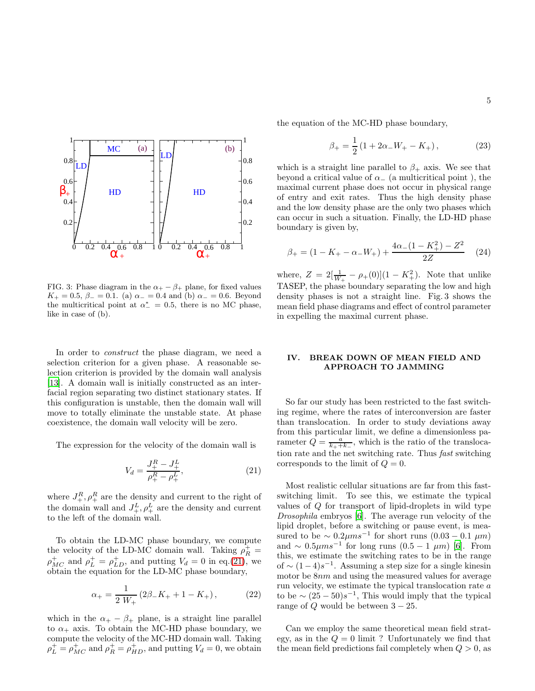

FIG. 3: Phase diagram in the  $\alpha_+ - \beta_+$  plane, for fixed values  $K_{+} = 0.5, \beta_{-} = 0.1.$  (a)  $\alpha_{-} = 0.4$  and (b)  $\alpha_{-} = 0.6.$  Beyond the multicritical point at  $\alpha^* = 0.5$ , there is no MC phase, like in case of (b).

In order to *construct* the phase diagram, we need a selection criterion for a given phase. A reasonable selection criterion is provided by the domain wall analysis [\[13\]](#page-7-8). A domain wall is initially constructed as an interfacial region separating two distinct stationary states. If this configuration is unstable, then the domain wall will move to totally eliminate the unstable state. At phase coexistence, the domain wall velocity will be zero.

The expression for the velocity of the domain wall is

<span id="page-4-1"></span>
$$
V_d = \frac{J_+^R - J_+^L}{\rho_+^R - \rho_+^L},\tag{21}
$$

where  $J_{+}^{R}$ ,  $\rho_{+}^{R}$  are the density and current to the right of the domain wall and  $J^L_+, \rho^L_+$  are the density and current to the left of the domain wall.

To obtain the LD-MC phase boundary, we compute the velocity of the LD-MC domain wall. Taking  $\rho_R^+$  =  $\rho_{MC}^+$  and  $\rho_L^+ = \rho_{LD}^+$ , and putting  $V_d = 0$  in eq.[\(21\)](#page-4-1), we obtain the equation for the LD-MC phase boundary,

$$
\alpha_{+} = \frac{1}{2 W_{+}} \left( 2\beta_{-} K_{+} + 1 - K_{+} \right), \tag{22}
$$

which in the  $\alpha_+ - \beta_+$  plane, is a straight line parallel to  $\alpha_+$  axis. To obtain the MC-HD phase boundary, we compute the velocity of the MC-HD domain wall. Taking  $\rho_L^+ = \rho_{MC}^+$  and  $\rho_R^+ = \rho_{HD}^+$ , and putting  $V_d = 0$ , we obtain the equation of the MC-HD phase boundary,

$$
\beta_{+} = \frac{1}{2} \left( 1 + 2\alpha_{-}W_{+} - K_{+} \right), \tag{23}
$$

which is a straight line parallel to  $\beta_+$  axis. We see that beyond a critical value of  $\alpha_-$  (a multicritical point), the maximal current phase does not occur in physical range of entry and exit rates. Thus the high density phase and the low density phase are the only two phases which can occur in such a situation. Finally, the LD-HD phase boundary is given by,

$$
\beta_{+} = (1 - K_{+} - \alpha_{-}W_{+}) + \frac{4\alpha_{-}(1 - K_{+}^{2}) - Z^{2}}{2Z}
$$
 (24)

where,  $Z = 2[\frac{1}{W_+} - \rho_+(0)](1 - K_+^2)$ . Note that unlike TASEP, the phase boundary separating the low and high density phases is not a straight line. Fig. 3 shows the mean field phase diagrams and effect of control parameter in expelling the maximal current phase.

## <span id="page-4-0"></span>IV. BREAK DOWN OF MEAN FIELD AND APPROACH TO JAMMING

So far our study has been restricted to the fast switching regime, where the rates of interconversion are faster than translocation. In order to study deviations away from this particular limit, we define a dimensionless parameter  $Q = \frac{a}{k_+ + k_-}$ , which is the ratio of the translocation rate and the net switching rate. Thus fast switching corresponds to the limit of  $Q = 0$ .

Most realistic cellular situations are far from this fastswitching limit. To see this, we estimate the typical values of Q for transport of lipid-droplets in wild type Drosophila embryos [\[6\]](#page-7-3). The average run velocity of the lipid droplet, before a switching or pause event, is measured to be  $\sim 0.2 \mu m s^{-1}$  for short runs  $(0.03 - 0.1 \mu m)$ and  $\sim 0.5 \mu m s^{-1}$  for long runs  $(0.5 - 1 \mu m)$  [\[6\]](#page-7-3). From this, we estimate the switching rates to be in the range of  $\sim$   $(1-4)s^{-1}$ . Assuming a step size for a single kinesin motor be 8nm and using the measured values for average run velocity, we estimate the typical translocation rate a to be  $\sim (25-50)s^{-1}$ , This would imply that the typical range of  $Q$  would be between  $3 - 25$ .

Can we employ the same theoretical mean field strategy, as in the  $Q = 0$  limit ? Unfortunately we find that the mean field predictions fail completely when  $Q > 0$ , as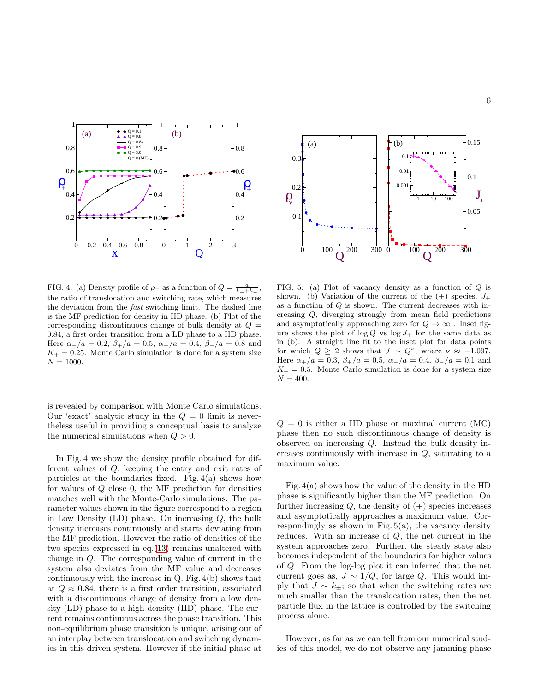

FIG. 4: (a) Density profile of  $\rho_+$  as a function of  $Q = \frac{a}{k_+ + k_-}$ , the ratio of translocation and switching rate, which measures the deviation from the fast switching limit. The dashed line is the MF prediction for density in HD phase. (b) Plot of the corresponding discontinuous change of bulk density at  $Q =$ 0.84, a first order transition from a LD phase to a HD phase. Here  $\alpha_+/a = 0.2$ ,  $\beta_+/a = 0.5$ ,  $\alpha_-/a = 0.4$ ,  $\beta_-/a = 0.8$  and  $K_{+} = 0.25$ . Monte Carlo simulation is done for a system size  $N = 1000.$ 

is revealed by comparison with Monte Carlo simulations. Our 'exact' analytic study in the  $Q = 0$  limit is nevertheless useful in providing a conceptual basis to analyze the numerical simulations when  $Q > 0$ .

In Fig. 4 we show the density profile obtained for different values of Q, keeping the entry and exit rates of particles at the boundaries fixed. Fig. 4(a) shows how for values of Q close 0, the MF prediction for densities matches well with the Monte-Carlo simulations. The parameter values shown in the figure correspond to a region in Low Density  $(LD)$  phase. On increasing  $Q$ , the bulk density increases continuously and starts deviating from the MF prediction. However the ratio of densities of the two species expressed in eq.[\(13\)](#page-2-1) remains unaltered with change in Q. The corresponding value of current in the system also deviates from the MF value and decreases continuously with the increase in Q. Fig. 4(b) shows that at  $Q \approx 0.84$ , there is a first order transition, associated with a discontinuous change of density from a low density (LD) phase to a high density (HD) phase. The current remains continuous across the phase transition. This non-equilibrium phase transition is unique, arising out of an interplay between translocation and switching dynamics in this driven system. However if the initial phase at



FIG. 5: (a) Plot of vacancy density as a function of Q is shown. (b) Variation of the current of the  $(+)$  species,  $J_+$ as a function of  $Q$  is shown. The current decreases with increasing Q, diverging strongly from mean field predictions and asymptotically approaching zero for  $Q \to \infty$ . Inset figure shows the plot of  $\log Q$  vs  $\log J_+$  for the same data as in (b). A straight line fit to the inset plot for data points for which  $Q \geq 2$  shows that  $J \sim Q^{\nu}$ , where  $\nu \approx -1.097$ . Here  $\alpha_+/a = 0.3$ ,  $\beta_+/a = 0.5$ ,  $\alpha_-/a = 0.4$ ,  $\beta_-/a = 0.1$  and  $K_{+} = 0.5$ . Monte Carlo simulation is done for a system size  $N = 400.$ 

 $Q = 0$  is either a HD phase or maximal current (MC) phase then no such discontinuous change of density is observed on increasing Q. Instead the bulk density increases continuously with increase in  $Q$ , saturating to a maximum value.

Fig. 4(a) shows how the value of the density in the HD phase is significantly higher than the MF prediction. On further increasing  $Q$ , the density of  $(+)$  species increases and asymptotically approaches a maximum value. Correspondingly as shown in Fig.  $5(a)$ , the vacancy density reduces. With an increase of Q, the net current in the system approaches zero. Further, the steady state also becomes independent of the boundaries for higher values of Q. From the log-log plot it can inferred that the net current goes as,  $J \sim 1/Q$ , for large Q. This would imply that  $J \sim k_{\pm}$ ; so that when the switching rates are much smaller than the translocation rates, then the net particle flux in the lattice is controlled by the switching process alone.

However, as far as we can tell from our numerical studies of this model, we do not observe any jamming phase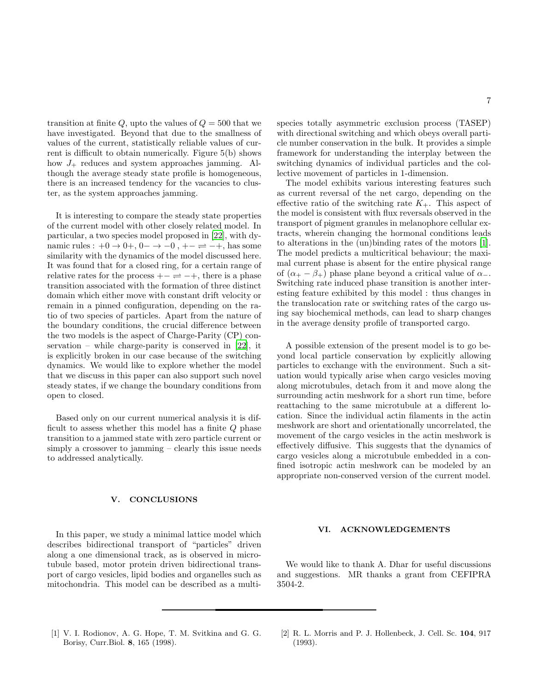transition at finite Q, upto the values of  $Q = 500$  that we have investigated. Beyond that due to the smallness of values of the current, statistically reliable values of current is difficult to obtain numerically. Figure 5(b) shows how  $J_+$  reduces and system approaches jamming. Although the average steady state profile is homogeneous, there is an increased tendency for the vacancies to cluster, as the system approaches jamming.

It is interesting to compare the steady state properties of the current model with other closely related model. In particular, a two species model proposed in [\[22\]](#page-7-17), with dynamic rules :  $+0 \rightarrow 0+$ ,  $0- \rightarrow -0$ ,  $+ - \rightleftharpoons -+$ , has some similarity with the dynamics of the model discussed here. It was found that for a closed ring, for a certain range of relative rates for the process  $+- \rightleftharpoons -+,$  there is a phase transition associated with the formation of three distinct domain which either move with constant drift velocity or remain in a pinned configuration, depending on the ratio of two species of particles. Apart from the nature of the boundary conditions, the crucial difference between the two models is the aspect of Charge-Parity (CP) conservation – while charge-parity is conserved in [\[22\]](#page-7-17), it is explicitly broken in our case because of the switching dynamics. We would like to explore whether the model that we discuss in this paper can also support such novel steady states, if we change the boundary conditions from open to closed.

Based only on our current numerical analysis it is difficult to assess whether this model has a finite Q phase transition to a jammed state with zero particle current or simply a crossover to jamming – clearly this issue needs to addressed analytically.

### <span id="page-6-2"></span>**CONCLUSIONS**

In this paper, we study a minimal lattice model which describes bidirectional transport of "particles" driven along a one dimensional track, as is observed in microtubule based, motor protein driven bidirectional transport of cargo vesicles, lipid bodies and organelles such as mitochondria. This model can be described as a multi-

species totally asymmetric exclusion process (TASEP) with directional switching and which obeys overall particle number conservation in the bulk. It provides a simple framework for understanding the interplay between the switching dynamics of individual particles and the collective movement of particles in 1-dimension.

The model exhibits various interesting features such as current reversal of the net cargo, depending on the effective ratio of the switching rate  $K_{+}$ . This aspect of the model is consistent with flux reversals observed in the transport of pigment granules in melanophore cellular extracts, wherein changing the hormonal conditions leads to alterations in the (un)binding rates of the motors [\[1\]](#page-6-0). The model predicts a multicritical behaviour; the maximal current phase is absent for the entire physical range of  $(\alpha_{+} - \beta_{+})$  phase plane beyond a critical value of  $\alpha_{-}$ . Switching rate induced phase transition is another interesting feature exhibited by this model : thus changes in the translocation rate or switching rates of the cargo using say biochemical methods, can lead to sharp changes in the average density profile of transported cargo.

A possible extension of the present model is to go beyond local particle conservation by explicitly allowing particles to exchange with the environment. Such a situation would typically arise when cargo vesicles moving along microtubules, detach from it and move along the surrounding actin meshwork for a short run time, before reattaching to the same microtubule at a different location. Since the individual actin filaments in the actin meshwork are short and orientationally uncorrelated, the movement of the cargo vesicles in the actin meshwork is effectively diffusive. This suggests that the dynamics of cargo vesicles along a microtubule embedded in a confined isotropic actin meshwork can be modeled by an appropriate non-conserved version of the current model.

#### VI. ACKNOWLEDGEMENTS

We would like to thank A. Dhar for useful discussions and suggestions. MR thanks a grant from CEFIPRA 3504-2.

- <span id="page-6-0"></span>[1] V. I. Rodionov, A. G. Hope, T. M. Svitkina and G. G. Borisy, Curr.Biol. 8, 165 (1998).
- <span id="page-6-1"></span>[2] R. L. Morris and P. J. Hollenbeck, J. Cell. Sc. 104, 917 (1993).